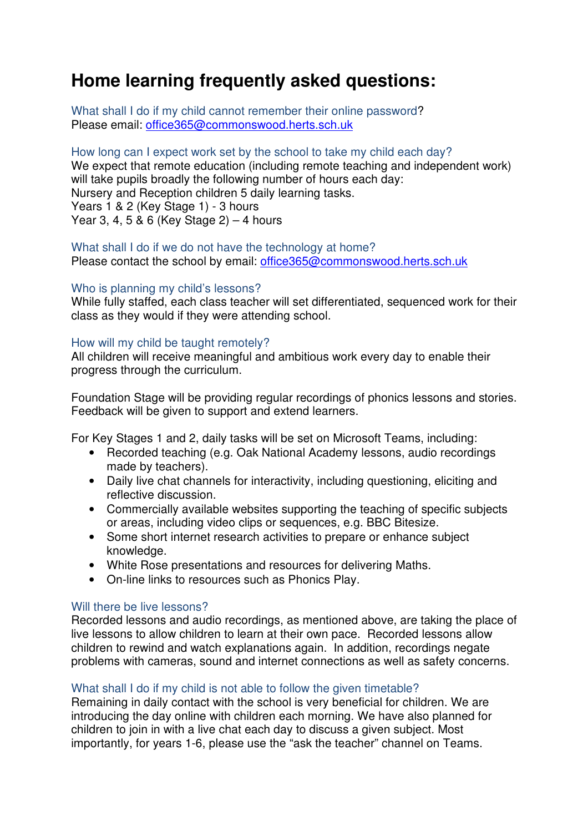# **Home learning frequently asked questions:**

What shall I do if my child cannot remember their online password? Please email: office365@commonswood.herts.sch.uk

# How long can I expect work set by the school to take my child each day?

We expect that remote education (including remote teaching and independent work) will take pupils broadly the following number of hours each day: Nursery and Reception children 5 daily learning tasks. Years 1 & 2 (Key Stage 1) - 3 hours Year 3, 4, 5 & 6 (Key Stage 2) – 4 hours

#### What shall I do if we do not have the technology at home? Please contact the school by email: office365@commonswood.herts.sch.uk

# Who is planning my child's lessons?

While fully staffed, each class teacher will set differentiated, sequenced work for their class as they would if they were attending school.

# How will my child be taught remotely?

All children will receive meaningful and ambitious work every day to enable their progress through the curriculum.

Foundation Stage will be providing regular recordings of phonics lessons and stories. Feedback will be given to support and extend learners.

For Key Stages 1 and 2, daily tasks will be set on Microsoft Teams, including:

- Recorded teaching (e.g. Oak National Academy lessons, audio recordings made by teachers).
- Daily live chat channels for interactivity, including questioning, eliciting and reflective discussion.
- Commercially available websites supporting the teaching of specific subjects or areas, including video clips or sequences, e.g. BBC Bitesize.
- Some short internet research activities to prepare or enhance subject knowledge.
- White Rose presentations and resources for delivering Maths.
- On-line links to resources such as Phonics Play.

## Will there be live lessons?

Recorded lessons and audio recordings, as mentioned above, are taking the place of live lessons to allow children to learn at their own pace. Recorded lessons allow children to rewind and watch explanations again. In addition, recordings negate problems with cameras, sound and internet connections as well as safety concerns.

## What shall I do if my child is not able to follow the given timetable?

Remaining in daily contact with the school is very beneficial for children. We are introducing the day online with children each morning. We have also planned for children to join in with a live chat each day to discuss a given subject. Most importantly, for years 1-6, please use the "ask the teacher" channel on Teams.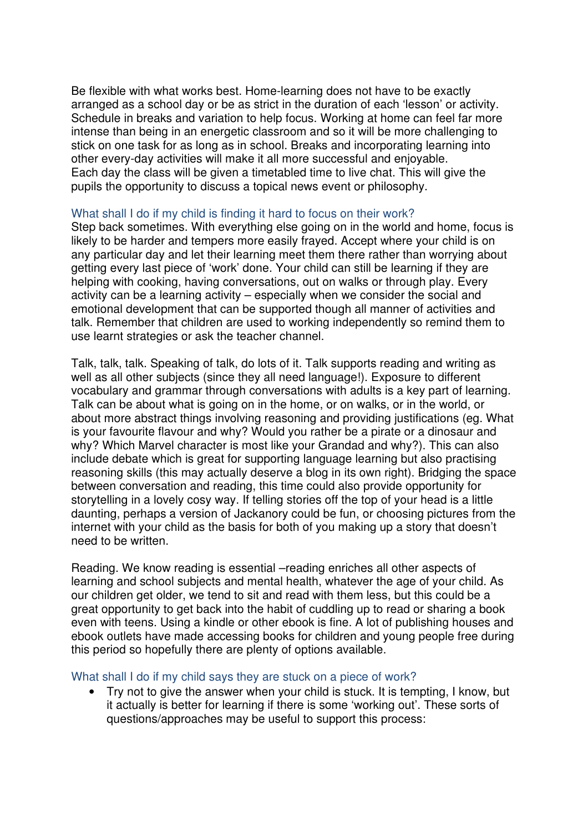Be flexible with what works best. Home-learning does not have to be exactly arranged as a school day or be as strict in the duration of each 'lesson' or activity. Schedule in breaks and variation to help focus. Working at home can feel far more intense than being in an energetic classroom and so it will be more challenging to stick on one task for as long as in school. Breaks and incorporating learning into other every-day activities will make it all more successful and enjoyable. Each day the class will be given a timetabled time to live chat. This will give the pupils the opportunity to discuss a topical news event or philosophy.

#### What shall I do if my child is finding it hard to focus on their work?

Step back sometimes. With everything else going on in the world and home, focus is likely to be harder and tempers more easily frayed. Accept where your child is on any particular day and let their learning meet them there rather than worrying about getting every last piece of 'work' done. Your child can still be learning if they are helping with cooking, having conversations, out on walks or through play. Every activity can be a learning activity – especially when we consider the social and emotional development that can be supported though all manner of activities and talk. Remember that children are used to working independently so remind them to use learnt strategies or ask the teacher channel.

Talk, talk, talk. Speaking of talk, do lots of it. Talk supports reading and writing as well as all other subjects (since they all need language!). Exposure to different vocabulary and grammar through conversations with adults is a key part of learning. Talk can be about what is going on in the home, or on walks, or in the world, or about more abstract things involving reasoning and providing justifications (eg. What is your favourite flavour and why? Would you rather be a pirate or a dinosaur and why? Which Marvel character is most like your Grandad and why?). This can also include debate which is great for supporting language learning but also practising reasoning skills (this may actually deserve a blog in its own right). Bridging the space between conversation and reading, this time could also provide opportunity for storytelling in a lovely cosy way. If telling stories off the top of your head is a little daunting, perhaps a version of Jackanory could be fun, or choosing pictures from the internet with your child as the basis for both of you making up a story that doesn't need to be written.

Reading. We know reading is essential –reading enriches all other aspects of learning and school subjects and mental health, whatever the age of your child. As our children get older, we tend to sit and read with them less, but this could be a great opportunity to get back into the habit of cuddling up to read or sharing a book even with teens. Using a kindle or other ebook is fine. A lot of publishing houses and ebook outlets have made accessing books for children and young people free during this period so hopefully there are plenty of options available.

#### What shall I do if my child says they are stuck on a piece of work?

• Try not to give the answer when your child is stuck. It is tempting, I know, but it actually is better for learning if there is some 'working out'. These sorts of questions/approaches may be useful to support this process: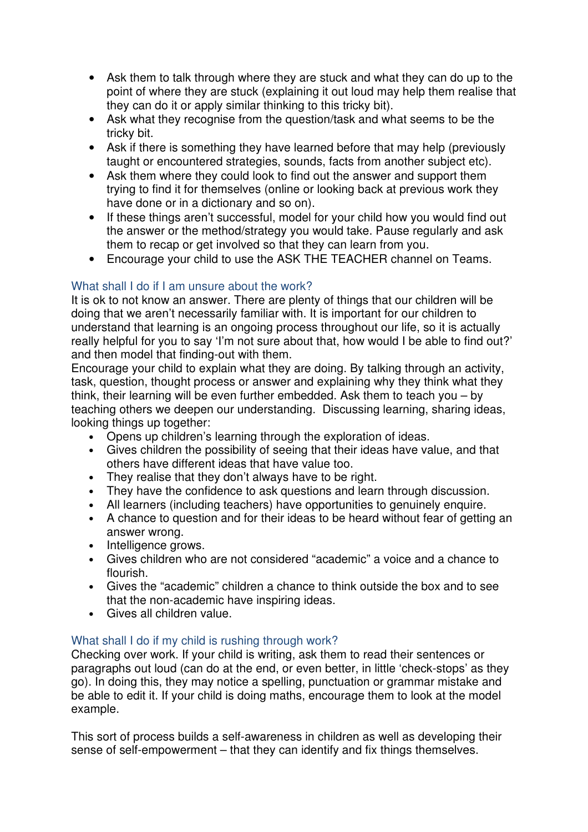- Ask them to talk through where they are stuck and what they can do up to the point of where they are stuck (explaining it out loud may help them realise that they can do it or apply similar thinking to this tricky bit).
- Ask what they recognise from the question/task and what seems to be the tricky bit.
- Ask if there is something they have learned before that may help (previously taught or encountered strategies, sounds, facts from another subject etc).
- Ask them where they could look to find out the answer and support them trying to find it for themselves (online or looking back at previous work they have done or in a dictionary and so on).
- If these things aren't successful, model for your child how you would find out the answer or the method/strategy you would take. Pause regularly and ask them to recap or get involved so that they can learn from you.
- Encourage your child to use the ASK THE TEACHER channel on Teams.

# What shall I do if I am unsure about the work?

It is ok to not know an answer. There are plenty of things that our children will be doing that we aren't necessarily familiar with. It is important for our children to understand that learning is an ongoing process throughout our life, so it is actually really helpful for you to say 'I'm not sure about that, how would I be able to find out?' and then model that finding-out with them.

Encourage your child to explain what they are doing. By talking through an activity, task, question, thought process or answer and explaining why they think what they think, their learning will be even further embedded. Ask them to teach you – by teaching others we deepen our understanding. Discussing learning, sharing ideas, looking things up together:

- Opens up children's learning through the exploration of ideas.
- Gives children the possibility of seeing that their ideas have value, and that others have different ideas that have value too.
- They realise that they don't always have to be right.
- They have the confidence to ask questions and learn through discussion.
- All learners (including teachers) have opportunities to genuinely enquire.
- A chance to question and for their ideas to be heard without fear of getting an answer wrong.
- Intelligence grows.
- Gives children who are not considered "academic" a voice and a chance to flourish.
- Gives the "academic" children a chance to think outside the box and to see that the non-academic have inspiring ideas.
- Gives all children value.

# What shall I do if my child is rushing through work?

Checking over work. If your child is writing, ask them to read their sentences or paragraphs out loud (can do at the end, or even better, in little 'check-stops' as they go). In doing this, they may notice a spelling, punctuation or grammar mistake and be able to edit it. If your child is doing maths, encourage them to look at the model example.

This sort of process builds a self-awareness in children as well as developing their sense of self-empowerment – that they can identify and fix things themselves.